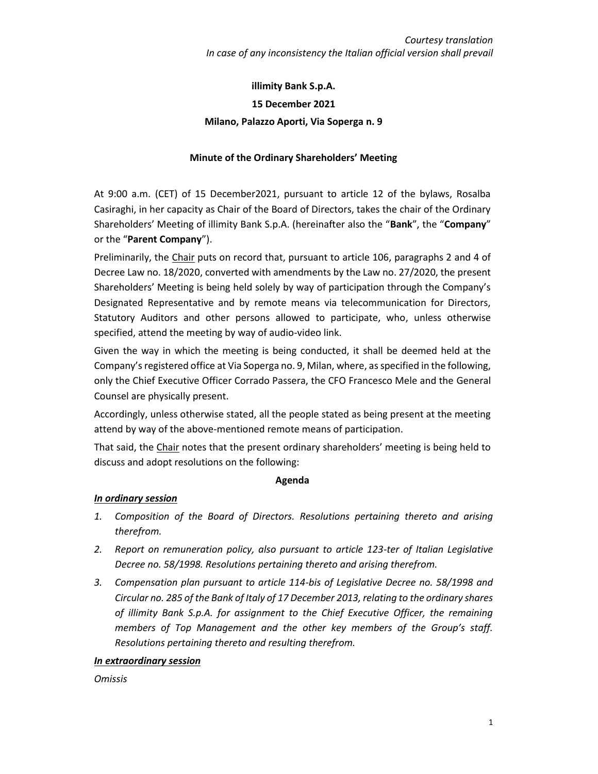# **illimity Bank S.p.A. 15 December 2021 Milano, Palazzo Aporti, Via Soperga n. 9**

## **Minute of the Ordinary Shareholders' Meeting**

At 9:00 a.m. (CET) of 15 December2021, pursuant to article 12 of the bylaws, Rosalba Casiraghi, in her capacity as Chair of the Board of Directors, takes the chair of the Ordinary Shareholders' Meeting of illimity Bank S.p.A. (hereinafter also the "**Bank**", the "**Company**" or the "**Parent Company**").

Preliminarily, the Chair puts on record that, pursuant to article 106, paragraphs 2 and 4 of Decree Law no. 18/2020, converted with amendments by the Law no. 27/2020, the present Shareholders' Meeting is being held solely by way of participation through the Company's Designated Representative and by remote means via telecommunication for Directors, Statutory Auditors and other persons allowed to participate, who, unless otherwise specified, attend the meeting by way of audio-video link.

Given the way in which the meeting is being conducted, it shall be deemed held at the Company's registered office at Via Soperga no. 9, Milan, where, as specified in the following, only the Chief Executive Officer Corrado Passera, the CFO Francesco Mele and the General Counsel are physically present.

Accordingly, unless otherwise stated, all the people stated as being present at the meeting attend by way of the above-mentioned remote means of participation.

That said, the Chair notes that the present ordinary shareholders' meeting is being held to discuss and adopt resolutions on the following:

### **Agenda**

### *In ordinary session*

- *1. Composition of the Board of Directors. Resolutions pertaining thereto and arising therefrom.*
- *2. Report on remuneration policy, also pursuant to article 123-ter of Italian Legislative Decree no. 58/1998. Resolutions pertaining thereto and arising therefrom.*
- *3. Compensation plan pursuant to article 114-bis of Legislative Decree no. 58/1998 and Circular no. 285 of the Bank of Italy of 17 December 2013, relating to the ordinary shares of illimity Bank S.p.A. for assignment to the Chief Executive Officer, the remaining members of Top Management and the other key members of the Group's staff. Resolutions pertaining thereto and resulting therefrom.*

### *In extraordinary session*

*Omissis*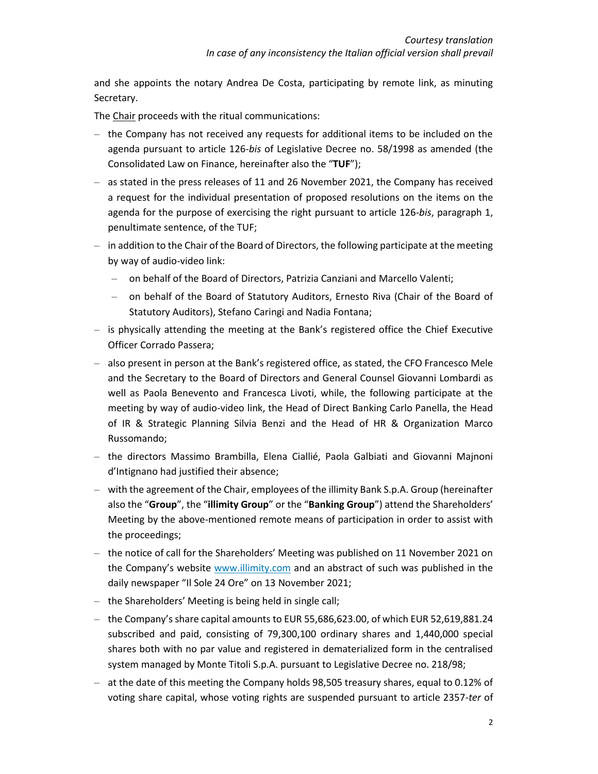and she appoints the notary Andrea De Costa, participating by remote link, as minuting Secretary.

The Chair proceeds with the ritual communications:

- $-$  the Company has not received any requests for additional items to be included on the agenda pursuant to article 126-*bis* of Legislative Decree no. 58/1998 as amended (the Consolidated Law on Finance, hereinafter also the "**TUF**");
- $-$  as stated in the press releases of 11 and 26 November 2021, the Company has received a request for the individual presentation of proposed resolutions on the items on the agenda for the purpose of exercising the right pursuant to article 126-*bis*, paragraph 1, penultimate sentence, of the TUF;
- $-$  in addition to the Chair of the Board of Directors, the following participate at the meeting by way of audio-video link:
	- ‒ on behalf of the Board of Directors, Patrizia Canziani and Marcello Valenti;
	- ‒ on behalf of the Board of Statutory Auditors, Ernesto Riva (Chair of the Board of Statutory Auditors), Stefano Caringi and Nadia Fontana;
- ‒ is physically attending the meeting at the Bank's registered office the Chief Executive Officer Corrado Passera;
- ‒ also present in person at the Bank's registered office, as stated, the CFO Francesco Mele and the Secretary to the Board of Directors and General Counsel Giovanni Lombardi as well as Paola Benevento and Francesca Livoti, while, the following participate at the meeting by way of audio-video link, the Head of Direct Banking Carlo Panella, the Head of IR & Strategic Planning Silvia Benzi and the Head of HR & Organization Marco Russomando;
- ‒ the directors Massimo Brambilla, Elena Ciallié, Paola Galbiati and Giovanni Majnoni d'Intignano had justified their absence;
- ‒ with the agreement of the Chair, employees of the illimity Bank S.p.A. Group (hereinafter also the "**Group**", the "**illimity Group**" or the "**Banking Group**") attend the Shareholders' Meeting by the above-mentioned remote means of participation in order to assist with the proceedings;
- the notice of call for the Shareholders' Meeting was published on 11 November 2021 on the Company's website [www.illimity.com](http://www.illimity.com/) and an abstract of such was published in the daily newspaper "Il Sole 24 Ore" on 13 November 2021;
- ‒ the Shareholders' Meeting is being held in single call;
- $-$  the Company's share capital amounts to EUR 55,686,623.00, of which EUR 52,619,881.24 subscribed and paid, consisting of 79,300,100 ordinary shares and 1,440,000 special shares both with no par value and registered in dematerialized form in the centralised system managed by Monte Titoli S.p.A. pursuant to Legislative Decree no. 218/98;
- ‒ at the date of this meeting the Company holds 98,505 treasury shares, equal to 0.12% of voting share capital, whose voting rights are suspended pursuant to article 2357-*ter* of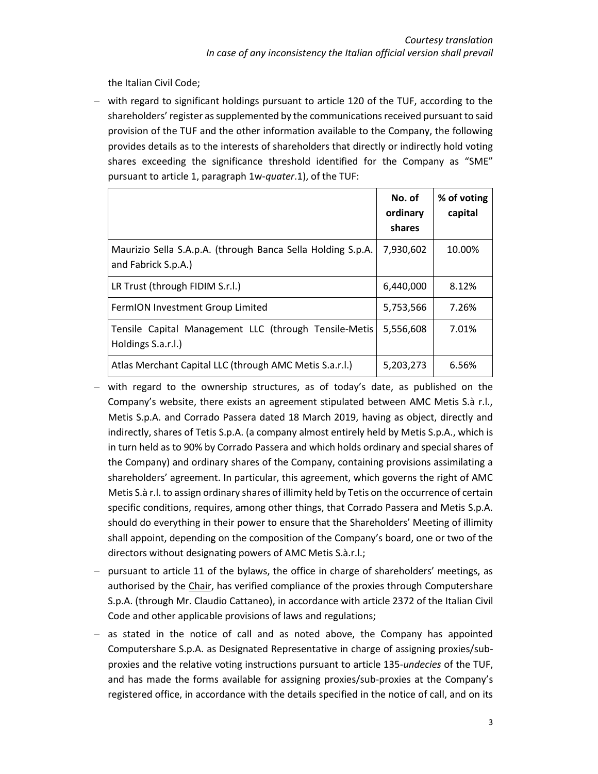the Italian Civil Code;

‒ with regard to significant holdings pursuant to article 120 of the TUF, according to the shareholders' register as supplemented by the communications received pursuant to said provision of the TUF and the other information available to the Company, the following provides details as to the interests of shareholders that directly or indirectly hold voting shares exceeding the significance threshold identified for the Company as "SME" pursuant to article 1, paragraph 1w-*quater*.1), of the TUF:

|                                                                                    | No. of<br>ordinary<br>shares | % of voting<br>capital |
|------------------------------------------------------------------------------------|------------------------------|------------------------|
| Maurizio Sella S.A.p.A. (through Banca Sella Holding S.p.A.<br>and Fabrick S.p.A.) | 7,930,602                    | 10.00%                 |
| LR Trust (through FIDIM S.r.l.)                                                    | 6,440,000                    | 8.12%                  |
| FermION Investment Group Limited                                                   | 5,753,566                    | 7.26%                  |
| Tensile Capital Management LLC (through Tensile-Metis<br>Holdings S.a.r.l.)        | 5,556,608                    | 7.01%                  |
| Atlas Merchant Capital LLC (through AMC Metis S.a.r.l.)                            | 5,203,273                    | 6.56%                  |

- $-$  with regard to the ownership structures, as of today's date, as published on the Company's website, there exists an agreement stipulated between AMC Metis S.à r.l., Metis S.p.A. and Corrado Passera dated 18 March 2019, having as object, directly and indirectly, shares of Tetis S.p.A. (a company almost entirely held by Metis S.p.A., which is in turn held as to 90% by Corrado Passera and which holds ordinary and special shares of the Company) and ordinary shares of the Company, containing provisions assimilating a shareholders' agreement. In particular, this agreement, which governs the right of AMC Metis S.à r.l. to assign ordinary shares of illimity held by Tetis on the occurrence of certain specific conditions, requires, among other things, that Corrado Passera and Metis S.p.A. should do everything in their power to ensure that the Shareholders' Meeting of illimity shall appoint, depending on the composition of the Company's board, one or two of the directors without designating powers of AMC Metis S.à.r.l.;
- $-$  pursuant to article 11 of the bylaws, the office in charge of shareholders' meetings, as authorised by the Chair, has verified compliance of the proxies through Computershare S.p.A. (through Mr. Claudio Cattaneo), in accordance with article 2372 of the Italian Civil Code and other applicable provisions of laws and regulations;
- $-$  as stated in the notice of call and as noted above, the Company has appointed Computershare S.p.A. as Designated Representative in charge of assigning proxies/subproxies and the relative voting instructions pursuant to article 135-*undecies* of the TUF, and has made the forms available for assigning proxies/sub-proxies at the Company's registered office, in accordance with the details specified in the notice of call, and on its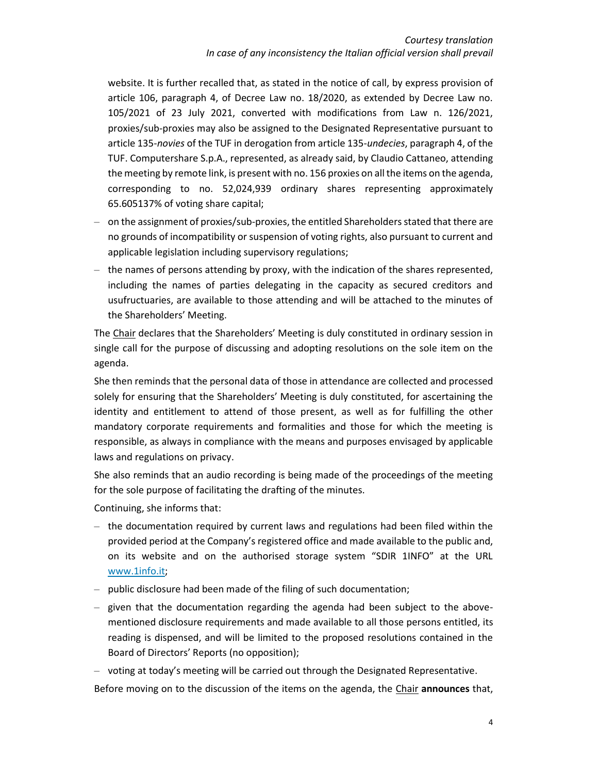website. It is further recalled that, as stated in the notice of call, by express provision of article 106, paragraph 4, of Decree Law no. 18/2020, as extended by Decree Law no. 105/2021 of 23 July 2021, converted with modifications from Law n. 126/2021, proxies/sub-proxies may also be assigned to the Designated Representative pursuant to article 135-*novies* of the TUF in derogation from article 135-*undecies*, paragraph 4, of the TUF. Computershare S.p.A., represented, as already said, by Claudio Cattaneo, attending the meeting by remote link, is present with no. 156 proxies on all the items on the agenda, corresponding to no. 52,024,939 ordinary shares representing approximately 65.605137% of voting share capital;

- on the assignment of proxies/sub-proxies, the entitled Shareholders stated that there are no grounds of incompatibility or suspension of voting rights, also pursuant to current and applicable legislation including supervisory regulations;
- the names of persons attending by proxy, with the indication of the shares represented, including the names of parties delegating in the capacity as secured creditors and usufructuaries, are available to those attending and will be attached to the minutes of the Shareholders' Meeting.

The Chair declares that the Shareholders' Meeting is duly constituted in ordinary session in single call for the purpose of discussing and adopting resolutions on the sole item on the agenda.

She then reminds that the personal data of those in attendance are collected and processed solely for ensuring that the Shareholders' Meeting is duly constituted, for ascertaining the identity and entitlement to attend of those present, as well as for fulfilling the other mandatory corporate requirements and formalities and those for which the meeting is responsible, as always in compliance with the means and purposes envisaged by applicable laws and regulations on privacy.

She also reminds that an audio recording is being made of the proceedings of the meeting for the sole purpose of facilitating the drafting of the minutes.

Continuing, she informs that:

- $-$  the documentation required by current laws and regulations had been filed within the provided period at the Company's registered office and made available to the public and, on its website and on the authorised storage system "SDIR 1INFO" at the URL [www.1info.it;](http://www.1info.it/)
- ‒ public disclosure had been made of the filing of such documentation;
- $-$  given that the documentation regarding the agenda had been subject to the abovementioned disclosure requirements and made available to all those persons entitled, its reading is dispensed, and will be limited to the proposed resolutions contained in the Board of Directors' Reports (no opposition);

‒ voting at today's meeting will be carried out through the Designated Representative.

Before moving on to the discussion of the items on the agenda, the Chair **announces** that,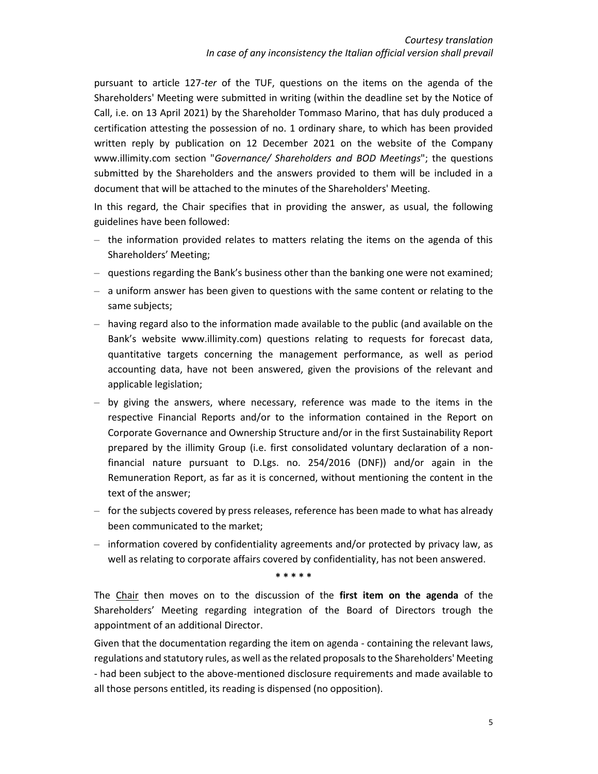pursuant to article 127-*ter* of the TUF, questions on the items on the agenda of the Shareholders' Meeting were submitted in writing (within the deadline set by the Notice of Call, i.e. on 13 April 2021) by the Shareholder Tommaso Marino, that has duly produced a certification attesting the possession of no. 1 ordinary share, to which has been provided written reply by publication on 12 December 2021 on the website of the Company www.illimity.com section "*Governance/ Shareholders and BOD Meetings*"; the questions submitted by the Shareholders and the answers provided to them will be included in a document that will be attached to the minutes of the Shareholders' Meeting.

In this regard, the Chair specifies that in providing the answer, as usual, the following guidelines have been followed:

- $-$  the information provided relates to matters relating the items on the agenda of this Shareholders' Meeting;
- $-$  questions regarding the Bank's business other than the banking one were not examined;
- $-$  a uniform answer has been given to questions with the same content or relating to the same subjects;
- ‒ having regard also to the information made available to the public (and available on the Bank's website www.illimity.com) questions relating to requests for forecast data, quantitative targets concerning the management performance, as well as period accounting data, have not been answered, given the provisions of the relevant and applicable legislation;
- $-$  by giving the answers, where necessary, reference was made to the items in the respective Financial Reports and/or to the information contained in the Report on Corporate Governance and Ownership Structure and/or in the first Sustainability Report prepared by the illimity Group (i.e. first consolidated voluntary declaration of a nonfinancial nature pursuant to D.Lgs. no. 254/2016 (DNF)) and/or again in the Remuneration Report, as far as it is concerned, without mentioning the content in the text of the answer;
- ‒ for the subjects covered by press releases, reference has been made to what has already been communicated to the market;
- $-$  information covered by confidentiality agreements and/or protected by privacy law, as well as relating to corporate affairs covered by confidentiality, has not been answered.

**\* \* \* \* \***

The Chair then moves on to the discussion of the **first item on the agenda** of the Shareholders' Meeting regarding integration of the Board of Directors trough the appointment of an additional Director.

Given that the documentation regarding the item on agenda - containing the relevant laws, regulations and statutory rules, as well as the related proposals to the Shareholders' Meeting - had been subject to the above-mentioned disclosure requirements and made available to all those persons entitled, its reading is dispensed (no opposition).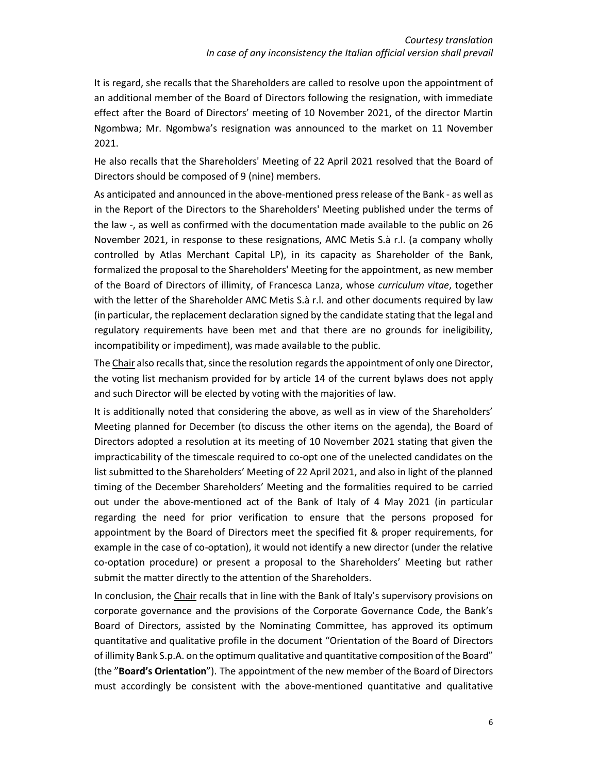It is regard, she recalls that the Shareholders are called to resolve upon the appointment of an additional member of the Board of Directors following the resignation, with immediate effect after the Board of Directors' meeting of 10 November 2021, of the director Martin Ngombwa; Mr. Ngombwa's resignation was announced to the market on 11 November 2021.

He also recalls that the Shareholders' Meeting of 22 April 2021 resolved that the Board of Directors should be composed of 9 (nine) members.

As anticipated and announced in the above-mentioned press release of the Bank - as well as in the Report of the Directors to the Shareholders' Meeting published under the terms of the law -, as well as confirmed with the documentation made available to the public on 26 November 2021, in response to these resignations, AMC Metis S.à r.l. (a company wholly controlled by Atlas Merchant Capital LP), in its capacity as Shareholder of the Bank, formalized the proposal to the Shareholders' Meeting for the appointment, as new member of the Board of Directors of illimity, of Francesca Lanza, whose *curriculum vitae*, together with the letter of the Shareholder AMC Metis S.à r.l. and other documents required by law (in particular, the replacement declaration signed by the candidate stating that the legal and regulatory requirements have been met and that there are no grounds for ineligibility, incompatibility or impediment), was made available to the public.

The Chair also recalls that, since the resolution regards the appointment of only one Director, the voting list mechanism provided for by article 14 of the current bylaws does not apply and such Director will be elected by voting with the majorities of law.

It is additionally noted that considering the above, as well as in view of the Shareholders' Meeting planned for December (to discuss the other items on the agenda), the Board of Directors adopted a resolution at its meeting of 10 November 2021 stating that given the impracticability of the timescale required to co-opt one of the unelected candidates on the list submitted to the Shareholders' Meeting of 22 April 2021, and also in light of the planned timing of the December Shareholders' Meeting and the formalities required to be carried out under the above-mentioned act of the Bank of Italy of 4 May 2021 (in particular regarding the need for prior verification to ensure that the persons proposed for appointment by the Board of Directors meet the specified fit & proper requirements, for example in the case of co-optation), it would not identify a new director (under the relative co-optation procedure) or present a proposal to the Shareholders' Meeting but rather submit the matter directly to the attention of the Shareholders.

In conclusion, the Chair recalls that in line with the Bank of Italy's supervisory provisions on corporate governance and the provisions of the Corporate Governance Code, the Bank's Board of Directors, assisted by the Nominating Committee, has approved its optimum quantitative and qualitative profile in the document "Orientation of the Board of Directors of illimity Bank S.p.A. on the optimum qualitative and quantitative composition of the Board" (the "**Board's Orientation**"). The appointment of the new member of the Board of Directors must accordingly be consistent with the above-mentioned quantitative and qualitative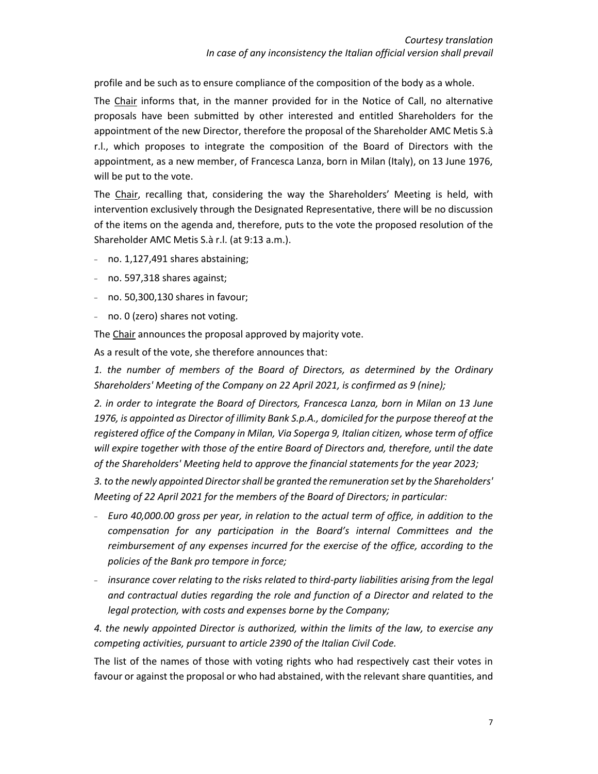profile and be such as to ensure compliance of the composition of the body as a whole.

The Chair informs that, in the manner provided for in the Notice of Call, no alternative proposals have been submitted by other interested and entitled Shareholders for the appointment of the new Director, therefore the proposal of the Shareholder AMC Metis S.à r.l., which proposes to integrate the composition of the Board of Directors with the appointment, as a new member, of Francesca Lanza, born in Milan (Italy), on 13 June 1976, will be put to the vote.

The Chair, recalling that, considering the way the Shareholders' Meeting is held, with intervention exclusively through the Designated Representative, there will be no discussion of the items on the agenda and, therefore, puts to the vote the proposed resolution of the Shareholder AMC Metis S.à r.l. (at 9:13 a.m.).

- no. 1,127,491 shares abstaining;
- no. 597,318 shares against;
- no. 50,300,130 shares in favour;
- no. 0 (zero) shares not voting.

The Chair announces the proposal approved by majority vote.

As a result of the vote, she therefore announces that:

*1. the number of members of the Board of Directors, as determined by the Ordinary Shareholders' Meeting of the Company on 22 April 2021, is confirmed as 9 (nine);*

*2. in order to integrate the Board of Directors, Francesca Lanza, born in Milan on 13 June 1976, is appointed as Director of illimity Bank S.p.A., domiciled for the purpose thereof at the registered office of the Company in Milan, Via Soperga 9, Italian citizen, whose term of office will expire together with those of the entire Board of Directors and, therefore, until the date of the Shareholders' Meeting held to approve the financial statements for the year 2023;*

*3. to the newly appointed Director shall be granted the remuneration set by the Shareholders' Meeting of 22 April 2021 for the members of the Board of Directors; in particular:*

- ₋ *Euro 40,000.00 gross per year, in relation to the actual term of office, in addition to the compensation for any participation in the Board's internal Committees and the reimbursement of any expenses incurred for the exercise of the office, according to the policies of the Bank pro tempore in force;*
- ₋ *insurance cover relating to the risks related to third-party liabilities arising from the legal and contractual duties regarding the role and function of a Director and related to the legal protection, with costs and expenses borne by the Company;*

*4. the newly appointed Director is authorized, within the limits of the law, to exercise any competing activities, pursuant to article 2390 of the Italian Civil Code.*

The list of the names of those with voting rights who had respectively cast their votes in favour or against the proposal or who had abstained, with the relevant share quantities, and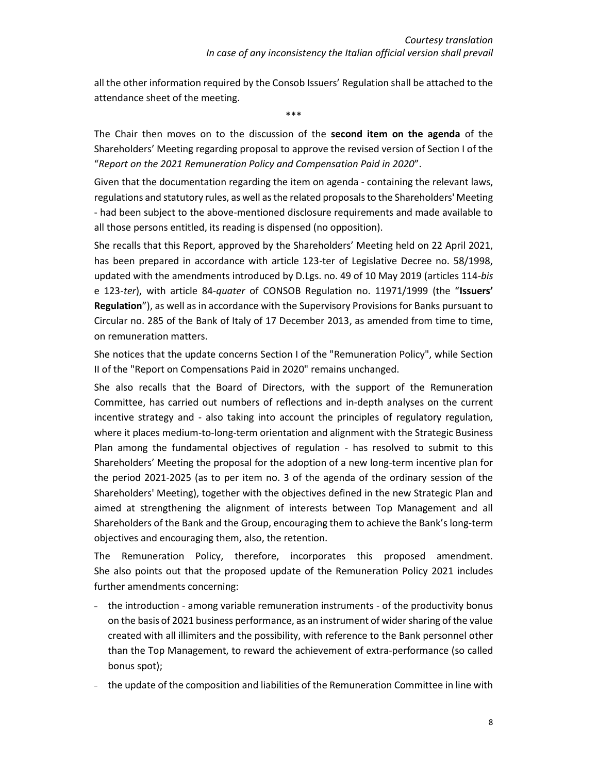all the other information required by the Consob Issuers' Regulation shall be attached to the attendance sheet of the meeting.

\*\*\*

The Chair then moves on to the discussion of the **second item on the agenda** of the Shareholders' Meeting regarding proposal to approve the revised version of Section I of the "*Report on the 2021 Remuneration Policy and Compensation Paid in 2020*".

Given that the documentation regarding the item on agenda - containing the relevant laws, regulations and statutory rules, as well as the related proposals to the Shareholders' Meeting - had been subject to the above-mentioned disclosure requirements and made available to all those persons entitled, its reading is dispensed (no opposition).

She recalls that this Report, approved by the Shareholders' Meeting held on 22 April 2021, has been prepared in accordance with article 123-ter of Legislative Decree no. 58/1998, updated with the amendments introduced by D.Lgs. no. 49 of 10 May 2019 (articles 114-*bis* e 123-*ter*), with article 84-*quater* of CONSOB Regulation no. 11971/1999 (the "**Issuers' Regulation**"), as well as in accordance with the Supervisory Provisions for Banks pursuant to Circular no. 285 of the Bank of Italy of 17 December 2013, as amended from time to time, on remuneration matters.

She notices that the update concerns Section I of the "Remuneration Policy", while Section II of the "Report on Compensations Paid in 2020" remains unchanged.

She also recalls that the Board of Directors, with the support of the Remuneration Committee, has carried out numbers of reflections and in-depth analyses on the current incentive strategy and - also taking into account the principles of regulatory regulation, where it places medium-to-long-term orientation and alignment with the Strategic Business Plan among the fundamental objectives of regulation - has resolved to submit to this Shareholders' Meeting the proposal for the adoption of a new long-term incentive plan for the period 2021-2025 (as to per item no. 3 of the agenda of the ordinary session of the Shareholders' Meeting), together with the objectives defined in the new Strategic Plan and aimed at strengthening the alignment of interests between Top Management and all Shareholders of the Bank and the Group, encouraging them to achieve the Bank's long-term objectives and encouraging them, also, the retention.

The Remuneration Policy, therefore, incorporates this proposed amendment. She also points out that the proposed update of the Remuneration Policy 2021 includes further amendments concerning:

- the introduction among variable remuneration instruments of the productivity bonus on the basis of 2021 business performance, as an instrument of wider sharing of the value created with all illimiters and the possibility, with reference to the Bank personnel other than the Top Management, to reward the achievement of extra-performance (so called bonus spot);
- the update of the composition and liabilities of the Remuneration Committee in line with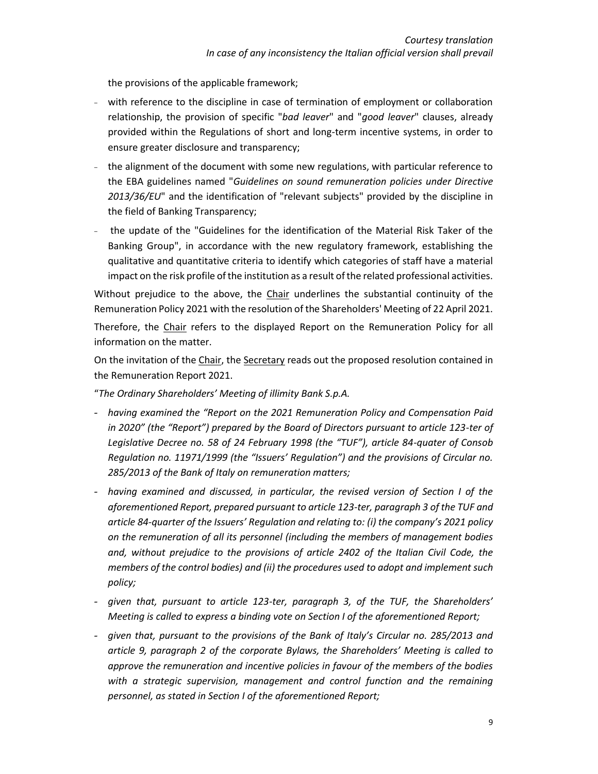the provisions of the applicable framework;

- with reference to the discipline in case of termination of employment or collaboration relationship, the provision of specific "*bad leaver*" and "*good leaver*" clauses, already provided within the Regulations of short and long-term incentive systems, in order to ensure greater disclosure and transparency;
- the alignment of the document with some new regulations, with particular reference to the EBA guidelines named "*Guidelines on sound remuneration policies under Directive 2013/36/EU*" and the identification of "relevant subjects" provided by the discipline in the field of Banking Transparency;
- the update of the "Guidelines for the identification of the Material Risk Taker of the Banking Group", in accordance with the new regulatory framework, establishing the qualitative and quantitative criteria to identify which categories of staff have a material impact on the risk profile of the institution as a result of the related professional activities.

Without prejudice to the above, the Chair underlines the substantial continuity of the Remuneration Policy 2021 with the resolution of the Shareholders' Meeting of 22 April 2021. Therefore, the Chair refers to the displayed Report on the Remuneration Policy for all information on the matter.

On the invitation of the Chair, the Secretary reads out the proposed resolution contained in the Remuneration Report 2021.

"*The Ordinary Shareholders' Meeting of illimity Bank S.p.A.* 

- *having examined the "Report on the 2021 Remuneration Policy and Compensation Paid in 2020" (the "Report") prepared by the Board of Directors pursuant to article 123-ter of Legislative Decree no. 58 of 24 February 1998 (the "TUF"), article 84-quater of Consob Regulation no. 11971/1999 (the "Issuers' Regulation") and the provisions of Circular no. 285/2013 of the Bank of Italy on remuneration matters;*
- *having examined and discussed, in particular, the revised version of Section I of the aforementioned Report, prepared pursuant to article 123-ter, paragraph 3 of the TUF and article 84-quarter of the Issuers' Regulation and relating to: (i) the company's 2021 policy on the remuneration of all its personnel (including the members of management bodies and, without prejudice to the provisions of article 2402 of the Italian Civil Code, the members of the control bodies) and (ii) the procedures used to adopt and implement such policy;*
- *given that, pursuant to article 123-ter, paragraph 3, of the TUF, the Shareholders' Meeting is called to express a binding vote on Section I of the aforementioned Report;*
- *given that, pursuant to the provisions of the Bank of Italy's Circular no. 285/2013 and article 9, paragraph 2 of the corporate Bylaws, the Shareholders' Meeting is called to approve the remuneration and incentive policies in favour of the members of the bodies with a strategic supervision, management and control function and the remaining personnel, as stated in Section I of the aforementioned Report;*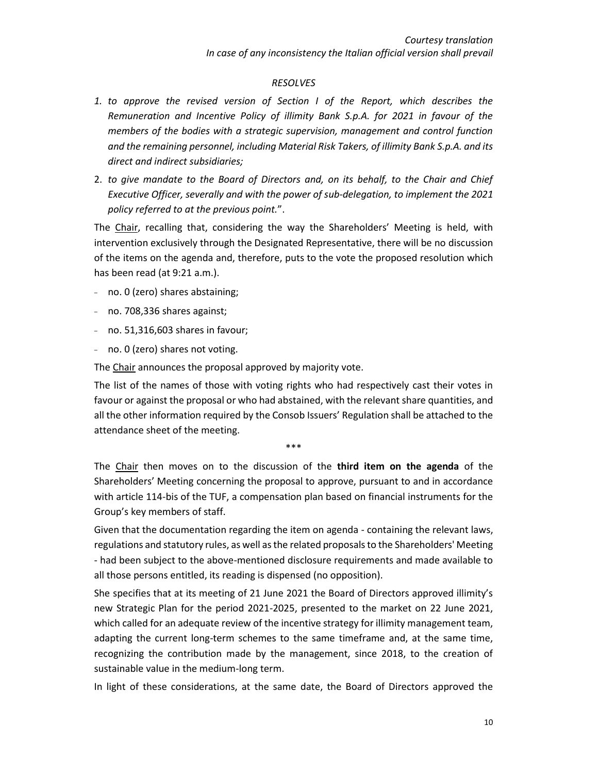#### *RESOLVES*

- *1. to approve the revised version of Section I of the Report, which describes the Remuneration and Incentive Policy of illimity Bank S.p.A. for 2021 in favour of the members of the bodies with a strategic supervision, management and control function and the remaining personnel, including Material Risk Takers, of illimity Bank S.p.A. and its direct and indirect subsidiaries;*
- 2. *to give mandate to the Board of Directors and, on its behalf, to the Chair and Chief Executive Officer, severally and with the power of sub-delegation, to implement the 2021 policy referred to at the previous point.*".

The Chair, recalling that, considering the way the Shareholders' Meeting is held, with intervention exclusively through the Designated Representative, there will be no discussion of the items on the agenda and, therefore, puts to the vote the proposed resolution which has been read (at 9:21 a.m.).

- no. 0 (zero) shares abstaining;
- no. 708,336 shares against;
- $-$  no. 51,316,603 shares in favour;
- no. 0 (zero) shares not voting.

The Chair announces the proposal approved by majority vote.

The list of the names of those with voting rights who had respectively cast their votes in favour or against the proposal or who had abstained, with the relevant share quantities, and all the other information required by the Consob Issuers' Regulation shall be attached to the attendance sheet of the meeting.

\*\*\*

The Chair then moves on to the discussion of the **third item on the agenda** of the Shareholders' Meeting concerning the proposal to approve, pursuant to and in accordance with article 114-bis of the TUF, a compensation plan based on financial instruments for the Group's key members of staff.

Given that the documentation regarding the item on agenda - containing the relevant laws, regulations and statutory rules, as well as the related proposals to the Shareholders' Meeting - had been subject to the above-mentioned disclosure requirements and made available to all those persons entitled, its reading is dispensed (no opposition).

She specifies that at its meeting of 21 June 2021 the Board of Directors approved illimity's new Strategic Plan for the period 2021-2025, presented to the market on 22 June 2021, which called for an adequate review of the incentive strategy for illimity management team, adapting the current long-term schemes to the same timeframe and, at the same time, recognizing the contribution made by the management, since 2018, to the creation of sustainable value in the medium-long term.

In light of these considerations, at the same date, the Board of Directors approved the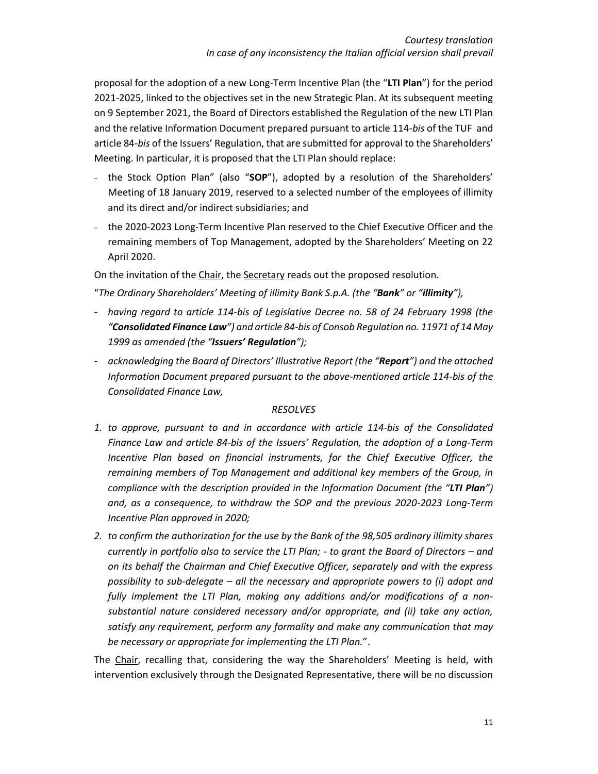proposal for the adoption of a new Long-Term Incentive Plan (the "**LTI Plan**") for the period 2021-2025, linked to the objectives set in the new Strategic Plan. At its subsequent meeting on 9 September 2021, the Board of Directors established the Regulation of the new LTI Plan and the relative Information Document prepared pursuant to article 114-*bis* of the TUF and article 84-*bis* of the Issuers' Regulation, that are submitted for approval to the Shareholders' Meeting. In particular, it is proposed that the LTI Plan should replace:

- the Stock Option Plan" (also "**SOP**"), adopted by a resolution of the Shareholders' Meeting of 18 January 2019, reserved to a selected number of the employees of illimity and its direct and/or indirect subsidiaries; and
- the 2020-2023 Long-Term Incentive Plan reserved to the Chief Executive Officer and the remaining members of Top Management, adopted by the Shareholders' Meeting on 22 April 2020.

On the invitation of the Chair, the Secretary reads out the proposed resolution.

"*The Ordinary Shareholders' Meeting of illimity Bank S.p.A. (the "Bank" or "illimity"),* 

- *having regard to article 114-bis of Legislative Decree no. 58 of 24 February 1998 (the "Consolidated Finance Law") and article 84-bis of Consob Regulation no. 11971 of 14 May 1999 as amended (the "Issuers' Regulation");*
- *acknowledging the Board of Directors' Illustrative Report (the "Report") and the attached Information Document prepared pursuant to the above-mentioned article 114-bis of the Consolidated Finance Law,*

### *RESOLVES*

- *1. to approve, pursuant to and in accordance with article 114-bis of the Consolidated Finance Law and article 84-bis of the Issuers' Regulation, the adoption of a Long-Term Incentive Plan based on financial instruments, for the Chief Executive Officer, the remaining members of Top Management and additional key members of the Group, in compliance with the description provided in the Information Document (the "LTI Plan") and, as a consequence, to withdraw the SOP and the previous 2020-2023 Long-Term Incentive Plan approved in 2020;*
- *2. to confirm the authorization for the use by the Bank of the 98,505 ordinary illimity shares currently in portfolio also to service the LTI Plan; - to grant the Board of Directors – and on its behalf the Chairman and Chief Executive Officer, separately and with the express possibility to sub-delegate – all the necessary and appropriate powers to (i) adopt and fully implement the LTI Plan, making any additions and/or modifications of a nonsubstantial nature considered necessary and/or appropriate, and (ii) take any action, satisfy any requirement, perform any formality and make any communication that may be necessary or appropriate for implementing the LTI Plan.*".

The Chair, recalling that, considering the way the Shareholders' Meeting is held, with intervention exclusively through the Designated Representative, there will be no discussion